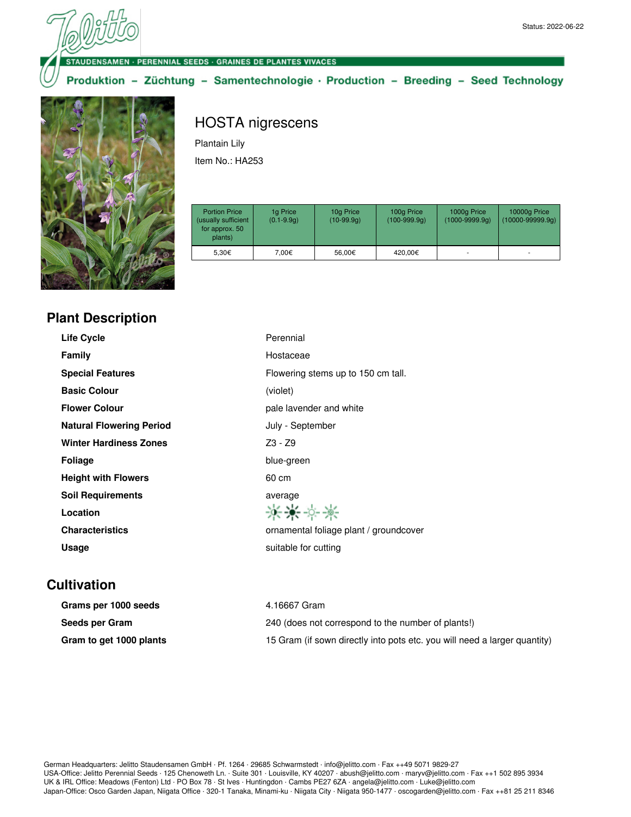## DENSAMEN - PERENNIAL SEEDS - GRAINES DE PLANTES VIVACES

Produktion - Züchtung - Samentechnologie · Production - Breeding - Seed Technology



## HOSTA nigrescens

Plantain Lily

Item No.: HA253

| <b>Portion Price</b><br>(usually sufficient<br>for approx. 50<br>plants) | 1g Price<br>$(0.1 - 9.9q)$ | 10g Price<br>$(10-99.9q)$ | 100g Price<br>$(100-999.9q)$ | 1000g Price<br>$(1000 - 9999.9q)$ | 10000g Price<br>$(10000 - 99999.9q)$ |
|--------------------------------------------------------------------------|----------------------------|---------------------------|------------------------------|-----------------------------------|--------------------------------------|
| 5.30€                                                                    | 7.00€                      | 56.00€                    | 420.00€                      |                                   |                                      |

| <b>Plant Description</b> |  |  |
|--------------------------|--|--|
|                          |  |  |

| <b>Life Cycle</b>               | Perennial                              |
|---------------------------------|----------------------------------------|
| Family                          | Hostaceae                              |
| <b>Special Features</b>         | Flowering stems up to 150 cm tall.     |
| <b>Basic Colour</b>             | (violet)                               |
| <b>Flower Colour</b>            | pale lavender and white                |
| <b>Natural Flowering Period</b> | July - September                       |
| <b>Winter Hardiness Zones</b>   | $Z3 - Z9$                              |
| <b>Foliage</b>                  | blue-green                             |
| <b>Height with Flowers</b>      | 60 cm                                  |
| <b>Soil Requirements</b>        | average                                |
| Location                        | ****                                   |
| <b>Characteristics</b>          | ornamental foliage plant / groundcover |
| Usage                           | suitable for cutting                   |
|                                 |                                        |

## **Cultivation**

| Grams per 1000 seeds    | 4.16667 Gram                                                              |
|-------------------------|---------------------------------------------------------------------------|
| Seeds per Gram          | 240 (does not correspond to the number of plants!)                        |
| Gram to get 1000 plants | 15 Gram (if sown directly into pots etc. you will need a larger quantity) |